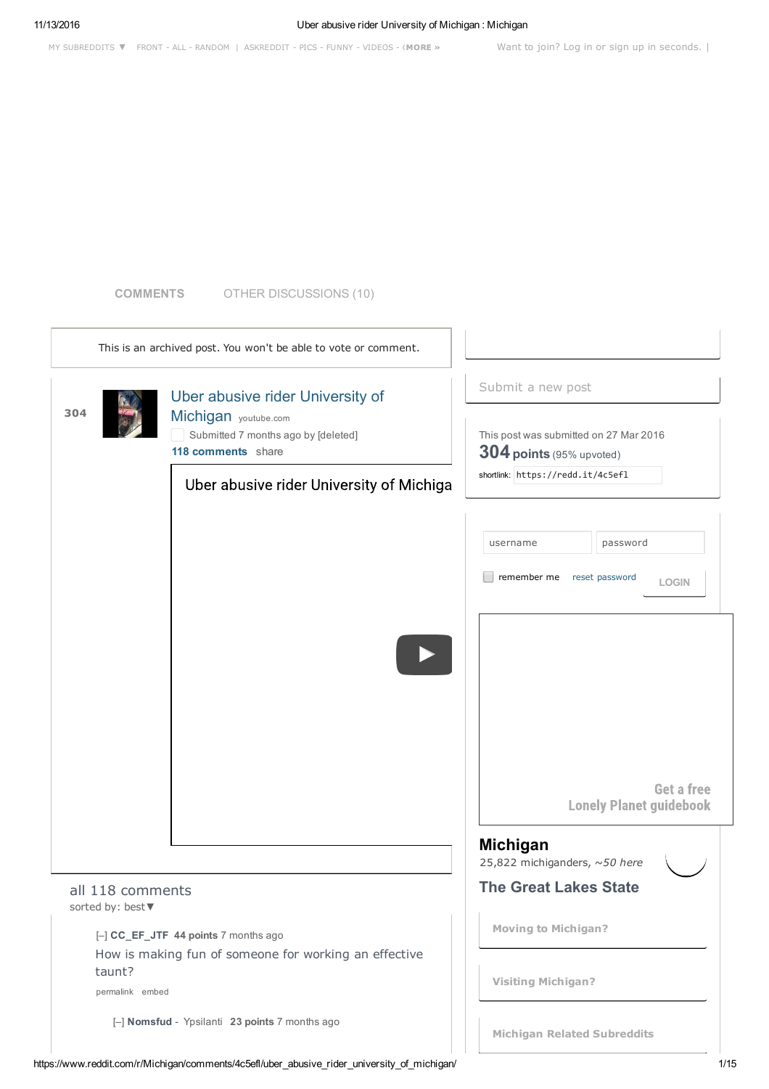### **COMMENTS** OTHER DISCUSSIONS (10)

| This is an archived post. You won't be able to vote or comment. |                                                                                               |                                                                                   |                                                                      |                                                     |  |
|-----------------------------------------------------------------|-----------------------------------------------------------------------------------------------|-----------------------------------------------------------------------------------|----------------------------------------------------------------------|-----------------------------------------------------|--|
| 304                                                             |                                                                                               | Uber abusive rider University of                                                  | Submit a new post                                                    |                                                     |  |
|                                                                 |                                                                                               | Michigan youtube.com<br>Submitted 7 months ago by [deleted]<br>118 comments share | This post was submitted on 27 Mar 2016<br>$304$ points (95% upvoted) |                                                     |  |
|                                                                 |                                                                                               | Uber abusive rider University of Michiga                                          | shortlink: https://redd.it/4c5ef1                                    |                                                     |  |
|                                                                 |                                                                                               |                                                                                   | username                                                             | password                                            |  |
|                                                                 |                                                                                               |                                                                                   | remember me                                                          | reset password<br><b>LOGIN</b>                      |  |
|                                                                 |                                                                                               |                                                                                   | <b>Michigan</b>                                                      | <b>Get a free</b><br><b>Lonely Planet guidebook</b> |  |
|                                                                 |                                                                                               |                                                                                   | 25,822 michiganders, ~50 here                                        |                                                     |  |
|                                                                 | all 118 comments<br>sorted by: best▼                                                          |                                                                                   | <b>The Great Lakes State</b>                                         |                                                     |  |
|                                                                 | [-] CC_EF_JTF 44 points 7 months ago<br>How is making fun of someone for working an effective |                                                                                   | <b>Moving to Michigan?</b>                                           |                                                     |  |
|                                                                 | taunt?<br>permalink embed                                                                     |                                                                                   | <b>Visiting Michigan?</b>                                            |                                                     |  |
|                                                                 | [-] Nomsfud - Ypsilanti 23 points 7 months ago                                                |                                                                                   | <b>Michigan Related Subreddits</b>                                   |                                                     |  |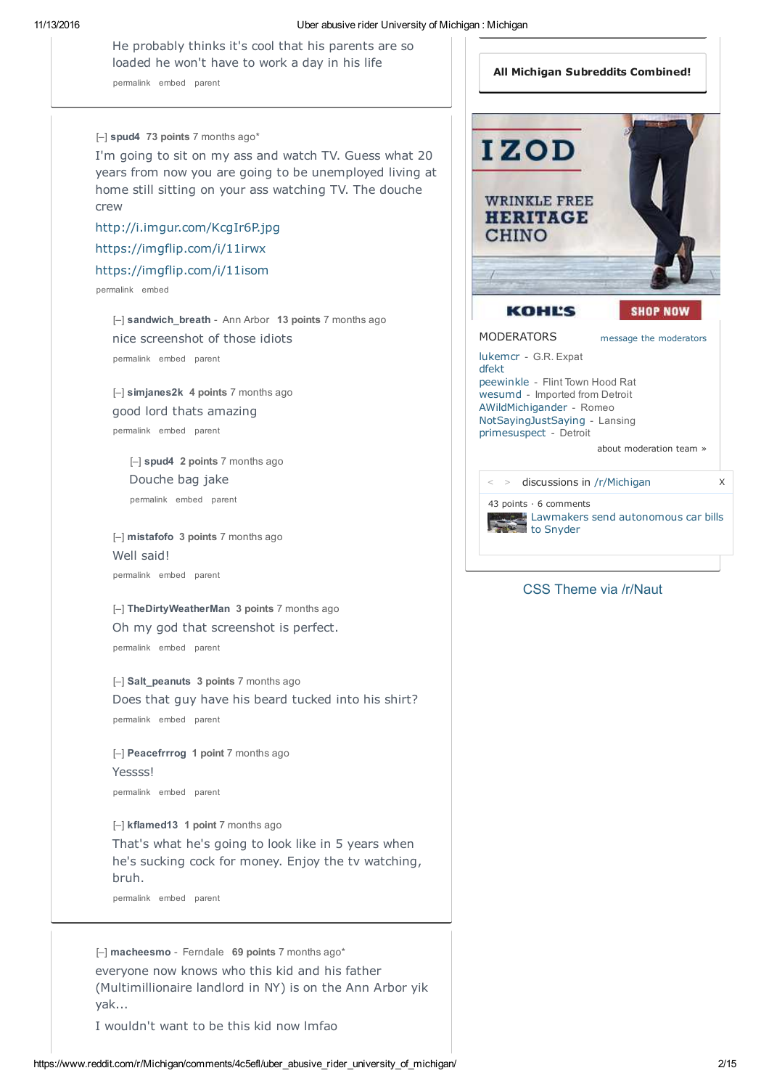He probably thinks it's cool that his parents are so loaded he won't have to work a day in his life

permalink embed parent

#### [–] **spud4 73 points** 7 months ago\*

I'm going to sit on my ass and watch TV. Guess what 20 years from now you are going to be unemployed living at home still sitting on your ass watching TV. The douche crew

http://i.imgur.com/KcgIr6P.jpg https://imgflip.com/i/11irwx https://imgflip.com/i/11isom

permalink embed

[–] **sandwich\_breath** - Ann Arbor **13 points** 7 months ago nice screenshot of those idiots permalink embed parent

[–] **simjanes2k 4 points** 7 months ago good lord thats amazing permalink embed parent

[–] **spud4 2 points** 7 months ago Douche bag jake

[–] **mistafofo 3 points** 7 months ago Well said! permalink embed parent

[–] **TheDirtyWeatherMan 3 points** 7 months ago Oh my god that screenshot is perfect. permalink embed parent

[–] **Salt\_peanuts 3 points** 7 months ago Does that guy have his beard tucked into his shirt? permalink embed parent

[–] **Peacefrrrog 1 point** 7 months ago Yessss! permalink embed parent

[–] **kflamed13 1 point** 7 months ago That's what he's going to look like in 5 years when he's sucking cock for money. Enjoy the tv watching, bruh.

permalink embed parent

[–] **macheesmo** - Ferndale **69 points** 7 months ago\* everyone now knows who this kid and his father (Multimillionaire landlord in NY) is on the Ann Arbor yik yak...

I wouldn't want to be this kid now lmfao



## CSS Theme via /r/Naut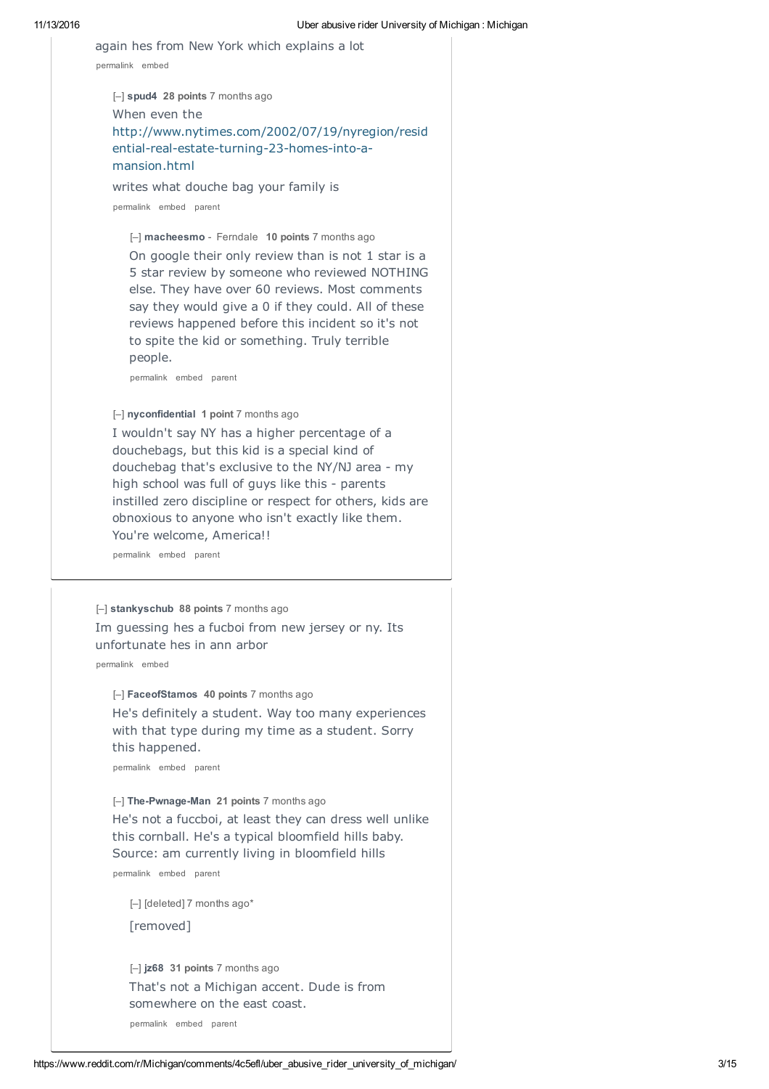| again hes from New York which explains a lot<br>permalink embed                                                                                                                                                                                                                                                                                                                                             |
|-------------------------------------------------------------------------------------------------------------------------------------------------------------------------------------------------------------------------------------------------------------------------------------------------------------------------------------------------------------------------------------------------------------|
| $[-]$ spud4 28 points 7 months ago<br>When even the<br>http://www.nytimes.com/2002/07/19/nyregion/resid<br>ential-real-estate-turning-23-homes-into-a-<br>mansion.html<br>writes what douche bag your family is<br>permalink embed parent                                                                                                                                                                   |
| [-] macheesmo - Ferndale 10 points 7 months ago<br>On google their only review than is not 1 star is a<br>5 star review by someone who reviewed NOTHING<br>else. They have over 60 reviews. Most comments<br>say they would give a 0 if they could. All of these<br>reviews happened before this incident so it's not<br>to spite the kid or something. Truly terrible<br>people.<br>permalink embed parent |
| [-] nyconfidential 1 point 7 months ago<br>I wouldn't say NY has a higher percentage of a<br>douchebags, but this kid is a special kind of<br>douchebag that's exclusive to the NY/NJ area - my<br>high school was full of guys like this - parents<br>instilled zero discipline or respect for others, kids are<br>obnoxious to anyone who isn't exactly like them.<br>You're welcome, America!!           |
| permalink embed parent                                                                                                                                                                                                                                                                                                                                                                                      |
| [-] stankyschub 88 points 7 months ago<br>Im guessing hes a fucboi from new jersey or ny. Its<br>unfortunate hes in ann arbor<br>permalink embed                                                                                                                                                                                                                                                            |
| [-] Face of Stamos 40 points 7 months ago<br>He's definitely a student. Way too many experiences<br>with that type during my time as a student. Sorry<br>this happened.<br>permalink embed parent                                                                                                                                                                                                           |
| [-] The-Pwnage-Man 21 points 7 months ago<br>He's not a fuccboi, at least they can dress well unlike<br>this cornball. He's a typical bloomfield hills baby.<br>Source: am currently living in bloomfield hills<br>permalink embed parent                                                                                                                                                                   |
| [-] [deleted] 7 months ago*<br>[removed]                                                                                                                                                                                                                                                                                                                                                                    |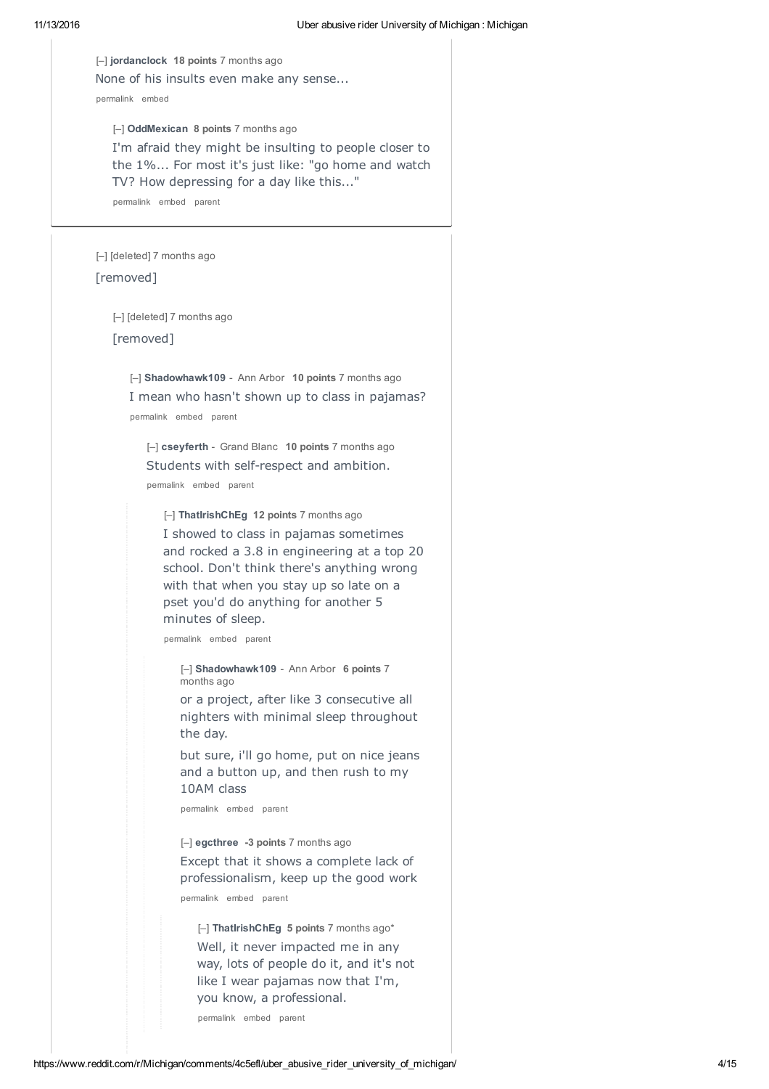11/13/2016 Uber abusive rider University of Michigan : Michigan [–] **jordanclock 18 points** 7 months ago None of his insults even make any sense... permalink embed [–] [deleted] 7 months ago [removed] [–] **OddMexican 8 points** 7 months ago I'm afraid they might be insulting to people closer to the 1%... For most it's just like: "go home and watch TV? How depressing for a day like this..." permalink embed parent [–] [deleted] 7 months ago [removed] [–] **Shadowhawk109** - Ann Arbor **10 points** 7 months ago I mean who hasn't shown up to class in pajamas? permalink embed parent [–] **cseyferth** - Grand Blanc **10 points** 7 months ago Students with self-respect and ambition. permalink embed parent [–] **ThatIrishChEg 12 points** 7 months ago I showed to class in pajamas sometimes and rocked a 3.8 in engineering at a top 20 school. Don't think there's anything wrong with that when you stay up so late on a pset you'd do anything for another 5 minutes of sleep. permalink embed parent [–] **Shadowhawk109** - Ann Arbor **6 points** 7 months ago

> or a project, after like 3 consecutive all nighters with minimal sleep throughout the day.

> but sure, i'll go home, put on nice jeans and a button up, and then rush to my 10AM class

permalink embed parent

[–] **egcthree -3 points** 7 months ago

Except that it shows a complete lack of professionalism, keep up the good work permalink embed parent

[–] **ThatIrishChEg 5 points** 7 months ago\* Well, it never impacted me in any way, lots of people do it, and it's not like I wear pajamas now that I'm, you know, a professional.

permalink embed parent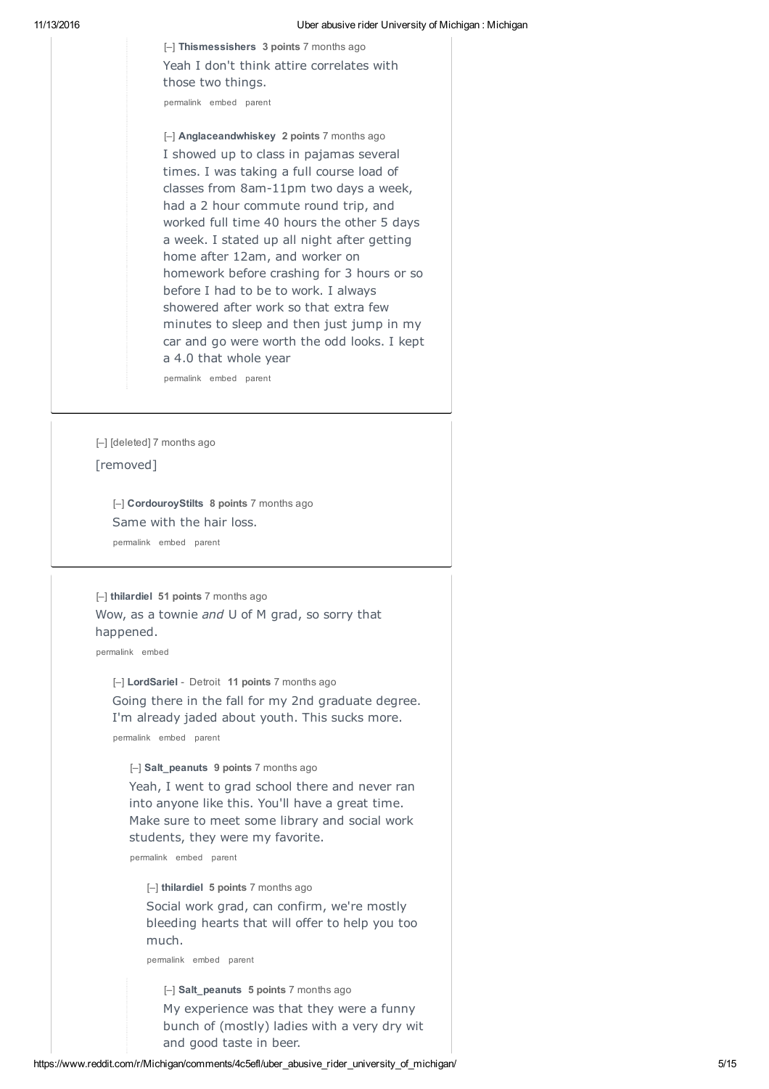[–] **Thismessishers 3 points** 7 months ago Yeah I don't think attire correlates with those two things.

permalink embed parent

[–] **Anglaceandwhiskey 2 points** 7 months ago I showed up to class in pajamas several times. I was taking a full course load of classes from 8am-11pm two days a week, had a 2 hour commute round trip, and worked full time 40 hours the other 5 days a week. I stated up all night after getting home after 12am, and worker on homework before crashing for 3 hours or so before I had to be to work. I always showered after work so that extra few minutes to sleep and then just jump in my car and go were worth the odd looks. I kept a 4.0 that whole year

permalink embed parent

[–] [deleted] 7 months ago

## [removed]

[–] **CordouroyStilts 8 points** 7 months ago Same with the hair loss. permalink embed parent

[–] **thilardiel 51 points** 7 months ago Wow, as a townie *and* U of M grad, so sorry that happened.

permalink embed

[–] **LordSariel** - Detroit **11 points** 7 months ago Going there in the fall for my 2nd graduate degree. I'm already jaded about youth. This sucks more. permalink embed parent

[–] **Salt\_peanuts 9 points** 7 months ago

Yeah, I went to grad school there and never ran into anyone like this. You'll have a great time. Make sure to meet some library and social work students, they were my favorite.

permalink embed parent

[–] **thilardiel 5 points** 7 months ago Social work grad, can confirm, we're mostly bleeding hearts that will offer to help you too much.

permalink embed parent

[–] **Salt\_peanuts 5 points** 7 months ago My experience was that they were a funny bunch of (mostly) ladies with a very dry wit and good taste in beer.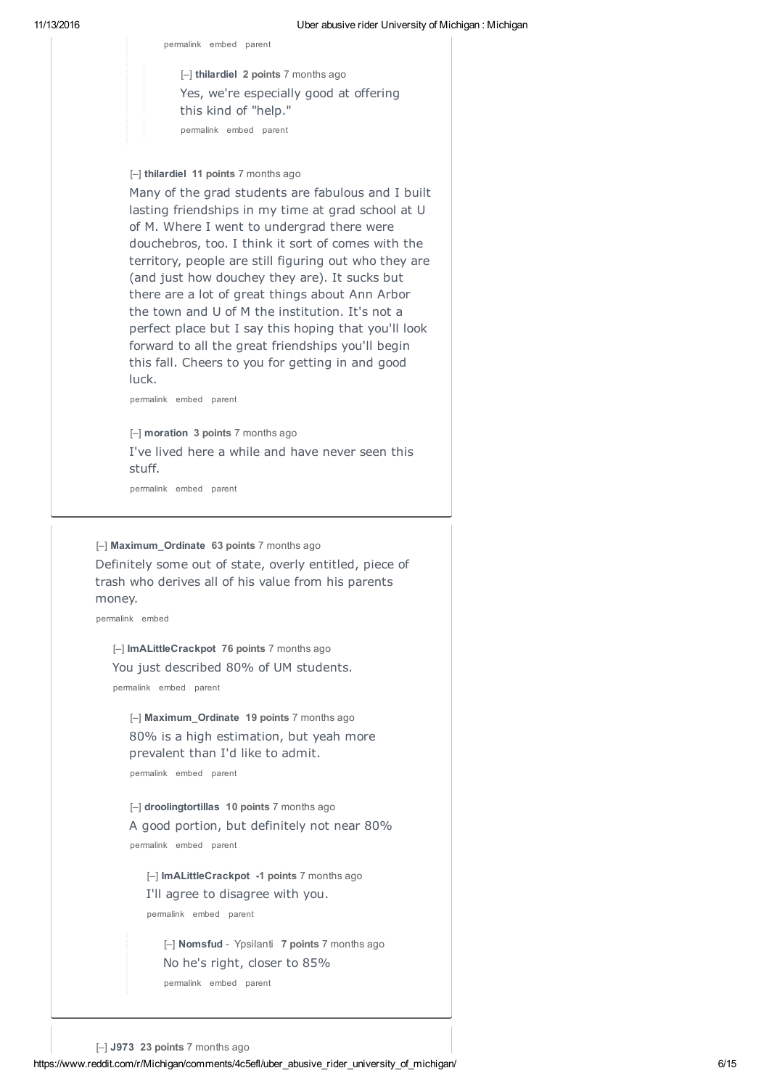permalink embed parent

[–] **thilardiel 2 points** 7 months ago Yes, we're especially good at offering this kind of "help." permalink embed parent

[–] **thilardiel 11 points** 7 months ago

Many of the grad students are fabulous and I built lasting friendships in my time at grad school at U of M. Where I went to undergrad there were douchebros, too. I think it sort of comes with the territory, people are still figuring out who they are (and just how douchey they are). It sucks but there are a lot of great things about Ann Arbor the town and U of M the institution. It's not a perfect place but I say this hoping that you'll look forward to all the great friendships you'll begin this fall. Cheers to you for getting in and good luck.

permalink embed parent

[–] **moration 3 points** 7 months ago I've lived here a while and have never seen this stuff.

permalink embed parent

[–] **Maximum\_Ordinate 63 points** 7 months ago Definitely some out of state, overly entitled, piece of trash who derives all of his value from his parents money.

permalink embed

[–] **ImALittleCrackpot 76 points** 7 months ago You just described 80% of UM students. permalink embed parent

[–] **Maximum\_Ordinate 19 points** 7 months ago 80% is a high estimation, but yeah more prevalent than I'd like to admit.

permalink embed parent

[–] **droolingtortillas 10 points** 7 months ago A good portion, but definitely not near 80% permalink embed parent

[–] **ImALittleCrackpot -1 points** 7 months ago I'll agree to disagree with you. permalink embed parent

[–] **Nomsfud** - Ypsilanti **7 points** 7 months ago No he's right, closer to 85% permalink embed parent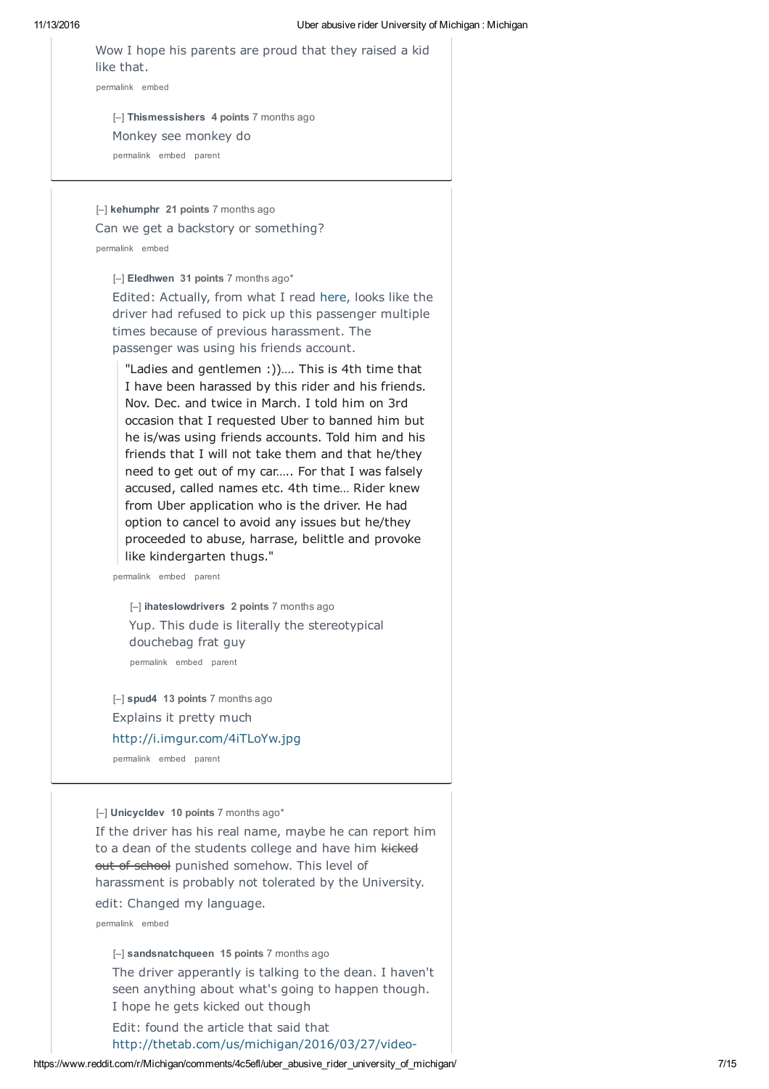| Wow I hope his parents are proud that they raised a kid |  |  |  |  |  |
|---------------------------------------------------------|--|--|--|--|--|
| like that.                                              |  |  |  |  |  |
| permalink embed                                         |  |  |  |  |  |

[–] **Thismessishers 4 points** 7 months ago Monkey see monkey do permalink embed parent

[–] **kehumphr 21 points** 7 months ago Can we get a backstory or something? permalink embed

[–] **Eledhwen 31 points** 7 months ago\*

Edited: Actually, from what I read here, looks like the driver had refused to pick up this passenger multiple times because of previous harassment. The passenger was using his friends account.

"Ladies and gentlemen :))…. This is 4th time that I have been harassed by this rider and his friends. Nov. Dec. and twice in March. I told him on 3rd occasion that I requested Uber to banned him but he is/was using friends accounts. Told him and his friends that I will not take them and that he/they need to get out of my car….. For that I was falsely accused, called names etc. 4th time… Rider knew from Uber application who is the driver. He had option to cancel to avoid any issues but he/they proceeded to abuse, harrase, belittle and provoke like kindergarten thugs."

permalink embed parent

[–] **ihateslowdrivers 2 points** 7 months ago Yup. This dude is literally the stereotypical douchebag frat guy permalink embed parent

[–] **spud4 13 points** 7 months ago Explains it pretty much http://i.imgur.com/4iTLoYw.jpg

permalink embed parent

[–] **Unicycldev 10 points** 7 months ago\* If the driver has his real name, maybe he can report him to a dean of the students college and have him kicked out of school punished somehow. This level of

harassment is probably not tolerated by the University.

edit: Changed my language.

permalink embed

[–] **sandsnatchqueen 15 points** 7 months ago The driver apperantly is talking to the dean. I haven't seen anything about what's going to happen though. I hope he gets kicked out though

Edit: found the article that said that

http://thetab.com/us/michigan/2016/03/27/video-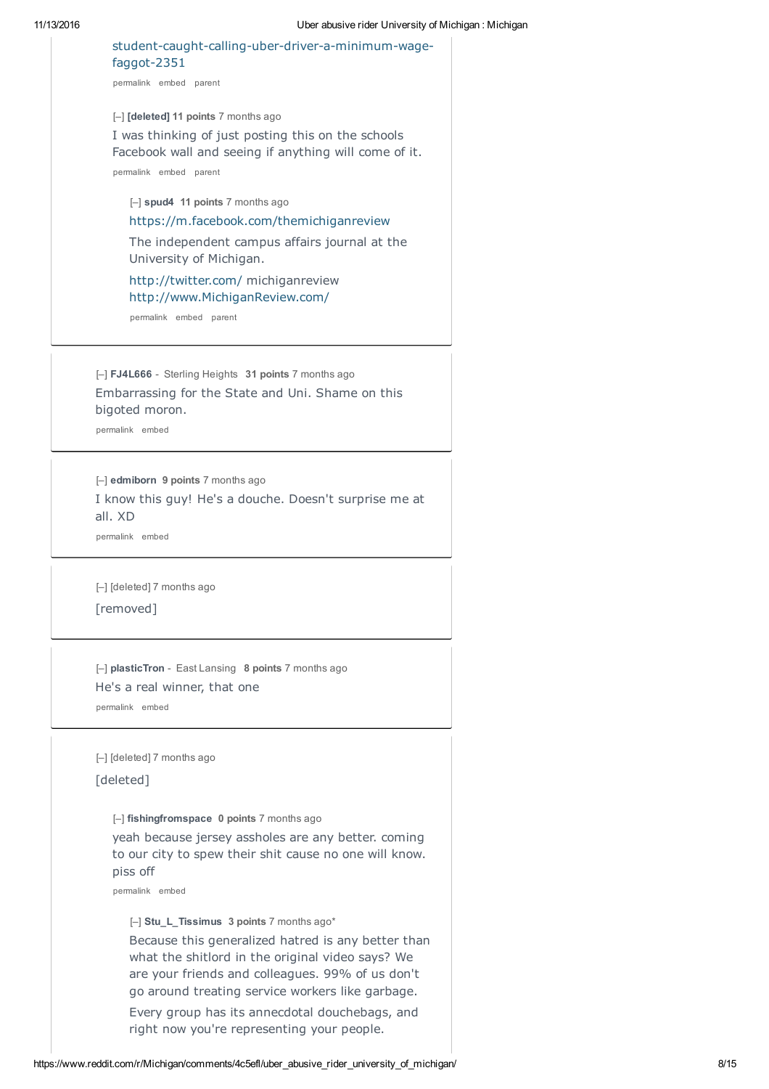| student-caught-calling-uber-driver-a-minimum-wage-<br>faggot-2351                                           |
|-------------------------------------------------------------------------------------------------------------|
| permalink embed parent                                                                                      |
| [-] [deleted] 11 points 7 months ago                                                                        |
| I was thinking of just posting this on the schools<br>Facebook wall and seeing if anything will come of it. |
| permalink embed parent                                                                                      |
| [-] spud4 11 points 7 months ago                                                                            |
| https://m.facebook.com/themichiganreview                                                                    |
| The independent campus affairs journal at the<br>University of Michigan.                                    |
| http://twitter.com/ michiganreview<br>http://www.MichiganReview.com/                                        |
| permalink embed parent                                                                                      |
|                                                                                                             |
| [-] FJ4L666 - Sterling Heights 31 points 7 months ago                                                       |
| Embarrassing for the State and Uni. Shame on this                                                           |
| bigoted moron.<br>permalink embed                                                                           |
|                                                                                                             |
| [-] edmiborn 9 points 7 months ago                                                                          |
| I know this guy! He's a douche. Doesn't surprise me at                                                      |
| all. XD                                                                                                     |
| permalink embed                                                                                             |
| [-] [deleted] 7 months ago                                                                                  |
| [removed]                                                                                                   |
|                                                                                                             |
|                                                                                                             |
| $\left[-\right]$ plastic Tron - East Lansing 8 points 7 months ago<br>He's a real winner, that one          |
| permalink embed                                                                                             |
|                                                                                                             |
| [-] [deleted] 7 months ago                                                                                  |
| [deleted]                                                                                                   |
| [-] fishingfromspace 0 points 7 months ago                                                                  |
| yeah because jersey assholes are any better. coming                                                         |
| to our city to spew their shit cause no one will know.<br>piss off                                          |
| permalink embed                                                                                             |
| [-] Stu_L_Tissimus 3 points 7 months ago*                                                                   |
| Because this generalized hatred is any better than                                                          |
| what the shitlord in the original video says? We                                                            |
| are your friends and colleagues. 99% of us don't                                                            |
| go around treating service workers like garbage.<br>Every group has its annecdotal douchebags, and          |
|                                                                                                             |

right now you're representing your people.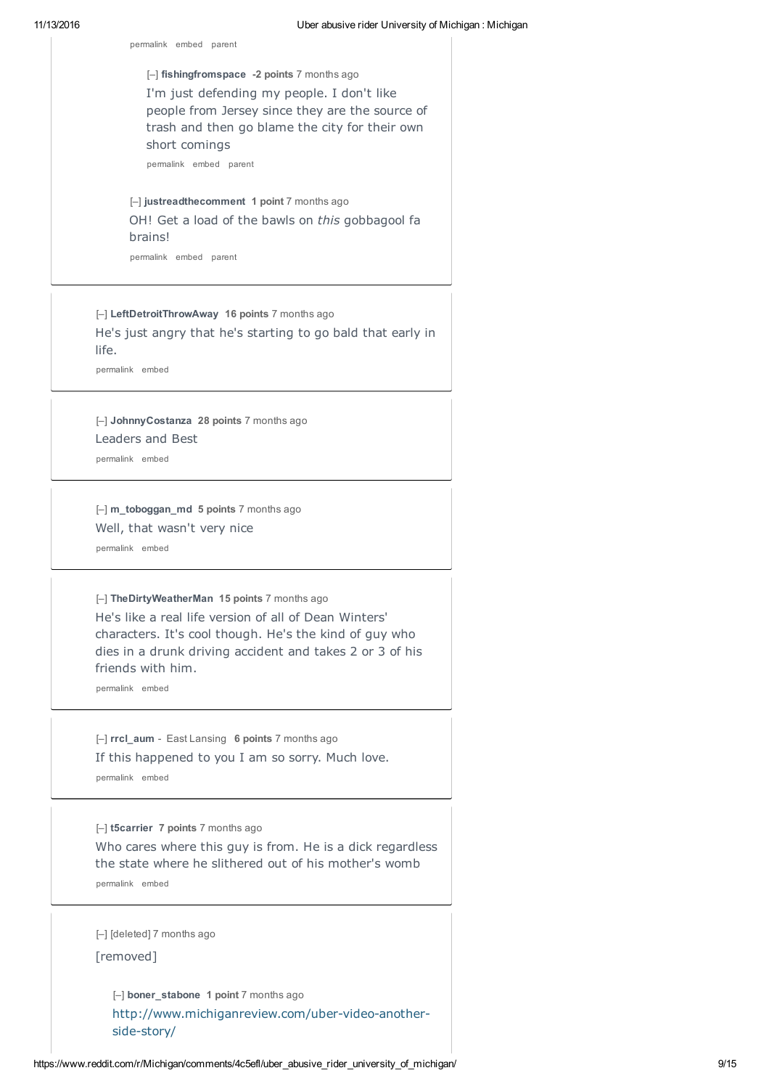[–] **fishingfromspace -2 points** 7 months ago I'm just defending my people. I don't like people from Jersey since they are the source of trash and then go blame the city for their own short comings

permalink embed parent

permalink embed parent

[–] **justreadthecomment 1 point** 7 months ago OH! Get a load of the bawls on *this* gobbagool fa brains!

permalink embed parent

[–] **LeftDetroitThrowAway 16 points** 7 months ago He's just angry that he's starting to go bald that early in life.

permalink embed

[–] **JohnnyCostanza 28 points** 7 months ago Leaders and Best

permalink embed

[–] **m\_toboggan\_md 5 points** 7 months ago Well, that wasn't very nice permalink embed

[–] **TheDirtyWeatherMan 15 points** 7 months ago He's like a real life version of all of Dean Winters' characters. It's cool though. He's the kind of guy who dies in a drunk driving accident and takes 2 or 3 of his friends with him.

permalink embed

[–] **rrcl\_aum** - East Lansing **6 points** 7 months ago If this happened to you I am so sorry. Much love. permalink embed

[–] **t5carrier 7 points** 7 months ago Who cares where this guy is from. He is a dick regardless the state where he slithered out of his mother's womb permalink embed

[–] [deleted] 7 months ago

[removed]

[–] **boner\_stabone 1 point** 7 months ago http://www.michiganreview.com/uber-video-anotherside-story/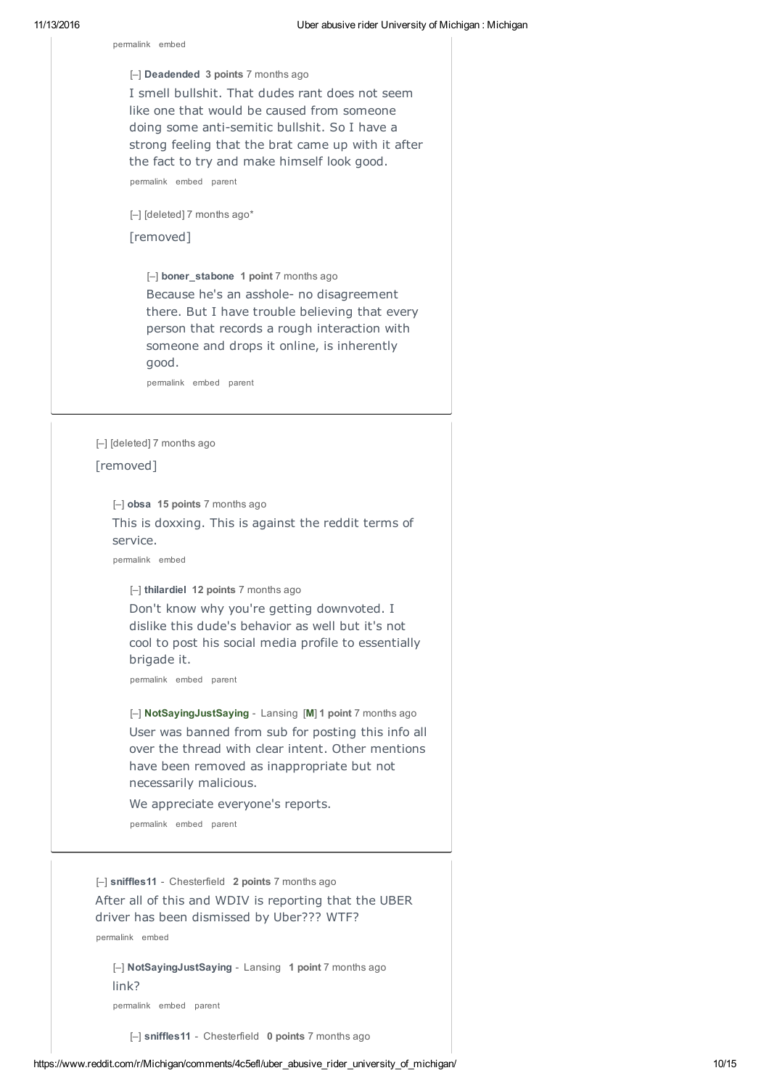permalink embed

[–] **Deadended 3 points** 7 months ago I smell bullshit. That dudes rant does not seem like one that would be caused from someone doing some anti-semitic bullshit. So I have a strong feeling that the brat came up with it after the fact to try and make himself look good. permalink embed parent

[–] [deleted] 7 months ago\*

[removed]

[–] **boner\_stabone 1 point** 7 months ago Because he's an asshole- no disagreement there. But I have trouble believing that every person that records a rough interaction with someone and drops it online, is inherently good.

permalink embed parent

[–] [deleted] 7 months ago [removed]

[–] **obsa 15 points** 7 months ago

This is doxxing. This is against the reddit terms of service.

permalink embed

[–] **thilardiel 12 points** 7 months ago

Don't know why you're getting downvoted. I dislike this dude's behavior as well but it's not cool to post his social media profile to essentially brigade it.

permalink embed parent

[–] **NotSayingJustSaying** - Lansing [**M**] **1 point** 7 months ago User was banned from sub for posting this info all over the thread with clear intent. Other mentions have been removed as inappropriate but not necessarily malicious.

We appreciate everyone's reports.

permalink embed parent

[–] **sniffles11** - Chesterfield **2 points** 7 months ago After all of this and WDIV is reporting that the UBER driver has been dismissed by Uber??? WTF?

permalink embed

[–] **NotSayingJustSaying** - Lansing **1 point** 7 months ago link?

permalink embed parent

[–] **sniffles11** - Chesterfield **0 points** 7 months ago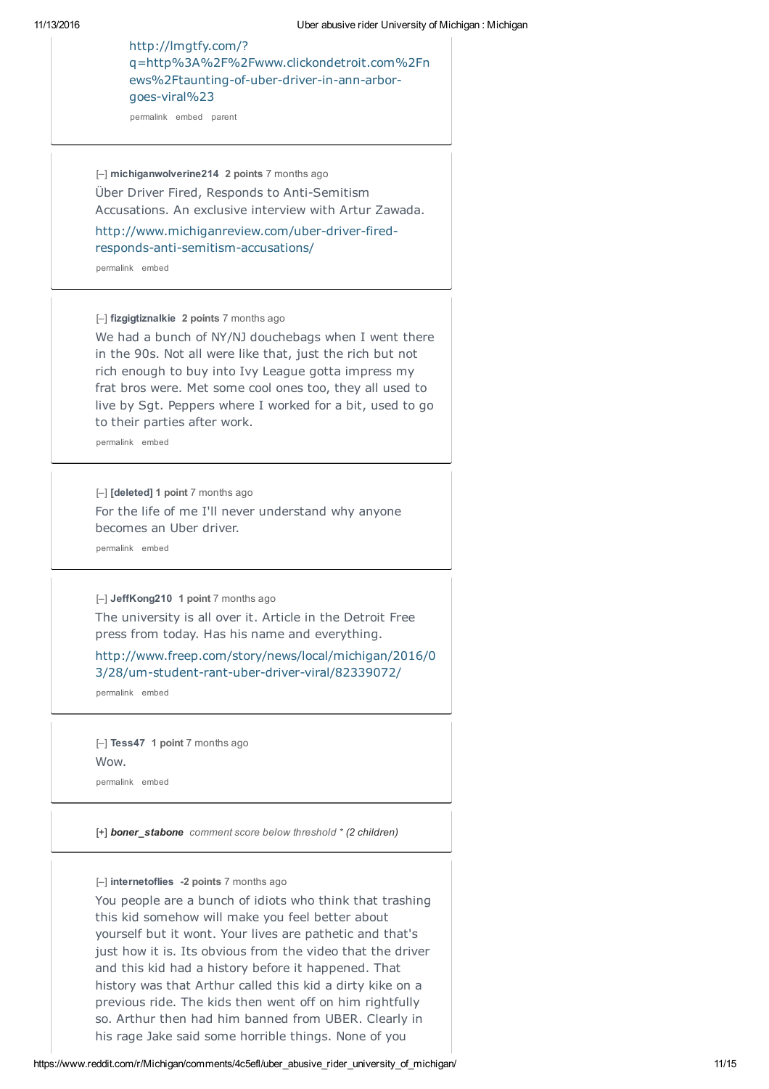# http://lmgtfy.com/? q=http%3A%2F%2Fwww.clickondetroit.com%2Fn ews%2Ftaunting-of-uber-driver-in-ann-arborgoes-viral%23

permalink embed parent

[–] **michiganwolverine214 2 points** 7 months ago Über Driver Fired, Responds to Anti-Semitism Accusations. An exclusive interview with Artur Zawada.

http://www.michiganreview.com/uber-driver-firedresponds-anti-semitism-accusations/

permalink embed

[–] **fizgigtiznalkie 2 points** 7 months ago

We had a bunch of NY/NJ douchebags when I went there in the 90s. Not all were like that, just the rich but not rich enough to buy into Ivy League gotta impress my frat bros were. Met some cool ones too, they all used to live by Sgt. Peppers where I worked for a bit, used to go to their parties after work.

permalink embed

[–] **[deleted] 1 point** 7 months ago For the life of me I'll never understand why anyone becomes an Uber driver.

permalink embed

[–] **JeffKong210 1 point** 7 months ago

The university is all over it. Article in the Detroit Free press from today. Has his name and everything.

http://www.freep.com/story/news/local/michigan/2016/0 3/28/um-student-rant-uber-driver-viral/82339072/

permalink embed

[–] **Tess47 1 point** 7 months ago Wow. permalink embed

[+] *boner\_stabone comment score below threshold \* (2 children)*

[–] **internetoflies -2 points** 7 months ago

You people are a bunch of idiots who think that trashing this kid somehow will make you feel better about yourself but it wont. Your lives are pathetic and that's just how it is. Its obvious from the video that the driver and this kid had a history before it happened. That history was that Arthur called this kid a dirty kike on a previous ride. The kids then went off on him rightfully so. Arthur then had him banned from UBER. Clearly in his rage Jake said some horrible things. None of you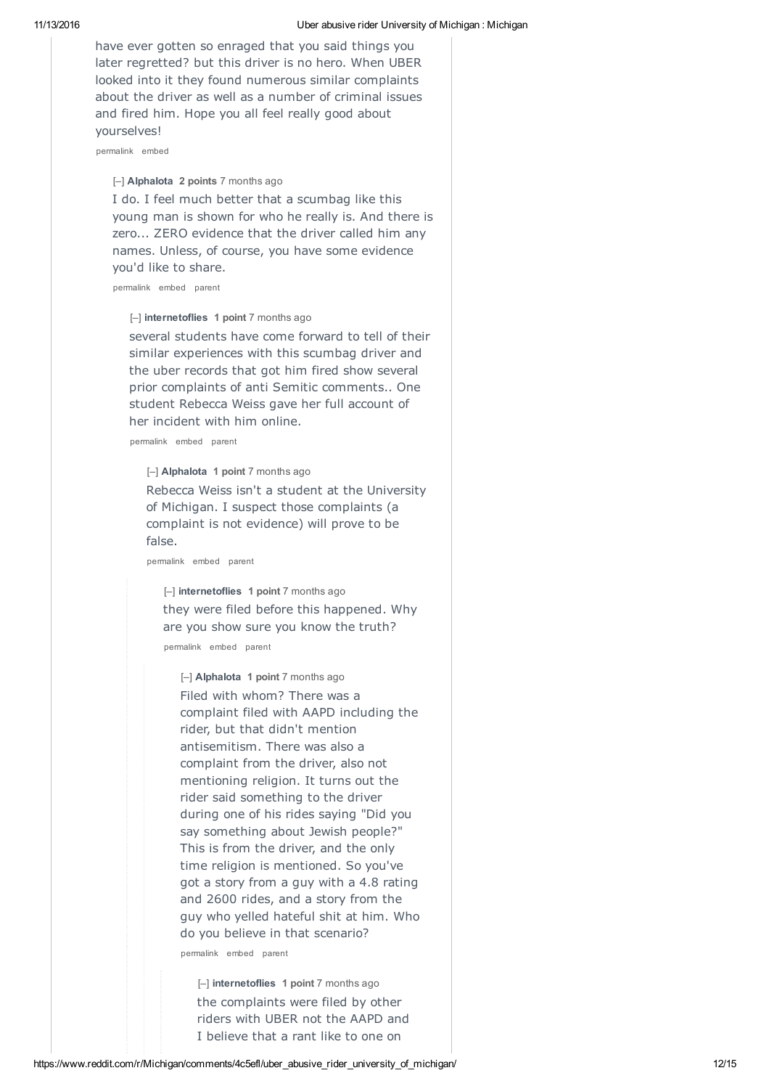have ever gotten so enraged that you said things you later regretted? but this driver is no hero. When UBER looked into it they found numerous similar complaints about the driver as well as a number of criminal issues and fired him. Hope you all feel really good about yourselves!

permalink embed

[–] **AlphaIota 2 points** 7 months ago

I do. I feel much better that a scumbag like this young man is shown for who he really is. And there is zero... ZERO evidence that the driver called him any names. Unless, of course, you have some evidence you'd like to share.

permalink embed parent

[–] **internetoflies 1 point** 7 months ago

several students have come forward to tell of their similar experiences with this scumbag driver and the uber records that got him fired show several prior complaints of anti Semitic comments.. One student Rebecca Weiss gave her full account of her incident with him online.

permalink embed parent

[–] **AlphaIota 1 point** 7 months ago Rebecca Weiss isn't a student at the University of Michigan. I suspect those complaints (a complaint is not evidence) will prove to be false.

permalink embed parent

[–] **internetoflies 1 point** 7 months ago they were filed before this happened. Why are you show sure you know the truth?

permalink embed parent

[–] **AlphaIota 1 point** 7 months ago Filed with whom? There was a complaint filed with AAPD including the rider, but that didn't mention antisemitism. There was also a complaint from the driver, also not mentioning religion. It turns out the rider said something to the driver during one of his rides saying "Did you say something about Jewish people?" This is from the driver, and the only time religion is mentioned. So you've got a story from a guy with a 4.8 rating and 2600 rides, and a story from the guy who yelled hateful shit at him. Who do you believe in that scenario?

permalink embed parent

[–] **internetoflies 1 point** 7 months ago the complaints were filed by other riders with UBER not the AAPD and I believe that a rant like to one on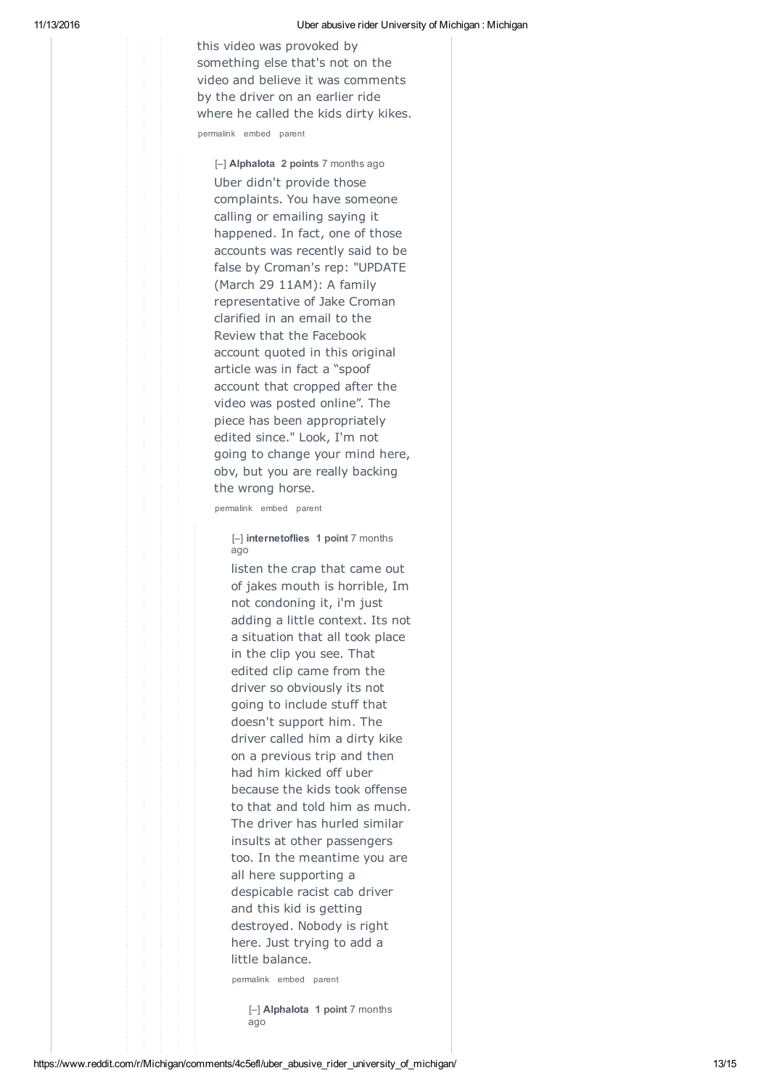this video was provoked by something else that's not on the video and believe it was comments by the driver on an earlier ride where he called the kids dirty kikes. permalink embed parent

[–] **AlphaIota 2 points** 7 months ago Uber didn't provide those complaints. You have someone calling or emailing saying it happened. In fact, one of those accounts was recently said to be false by Croman's rep: "UPDATE (March 29 11AM): A family representative of Jake Croman clarified in an email to the Review that the Facebook account quoted in this original article was in fact a "spoof account that cropped after the video was posted online". The piece has been appropriately edited since." Look, I'm not going to change your mind here, obv, but you are really backing the wrong horse.

permalink embed parent

[–] **internetoflies 1 point** 7 months ago

listen the crap that came out of jakes mouth is horrible, Im not condoning it, i'm just adding a little context. Its not a situation that all took place in the clip you see. That edited clip came from the driver so obviously its not going to include stuff that doesn't support him. The driver called him a dirty kike on a previous trip and then had him kicked off uber because the kids took offense to that and told him as much. The driver has hurled similar insults at other passengers too. In the meantime you are all here supporting a despicable racist cab driver and this kid is getting destroyed. Nobody is right here. Just trying to add a little balance.

permalink embed parent

[–] **AlphaIota 1 point** 7 months ago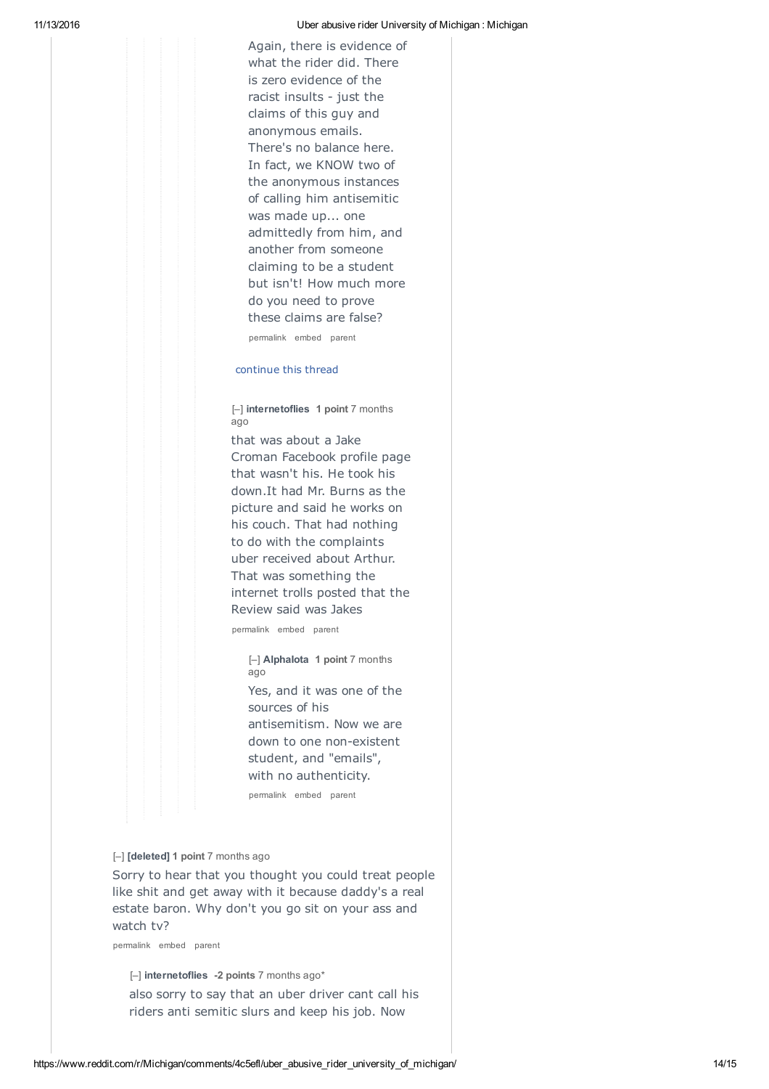#### 11/13/2016 Uber abusive rider University of Michigan : Michigan

Again, there is evidence of what the rider did. There is zero evidence of the racist insults - just the claims of this guy and anonymous emails. There's no balance here. In fact, we KNOW two of the anonymous instances of calling him antisemitic was made up... one admittedly from him, and another from someone claiming to be a student but isn't! How much more do you need to prove these claims are false?

permalink embed parent

#### continue this thread

[–] **internetoflies 1 point** 7 months ago

that was about a Jake Croman Facebook profile page that wasn't his. He took his down.It had Mr. Burns as the picture and said he works on his couch. That had nothing to do with the complaints uber received about Arthur. That was something the internet trolls posted that the Review said was Jakes

permalink embed parent

[–] **AlphaIota 1 point** 7 months ago

Yes, and it was one of the sources of his antisemitism. Now we are down to one non-existent student, and "emails", with no authenticity. permalink embed parent

#### [–] **[deleted] 1 point** 7 months ago

Sorry to hear that you thought you could treat people like shit and get away with it because daddy's a real estate baron. Why don't you go sit on your ass and watch tv?

permalink embed parent

[–] **internetoflies -2 points** 7 months ago\* also sorry to say that an uber driver cant call his riders anti semitic slurs and keep his job. Now